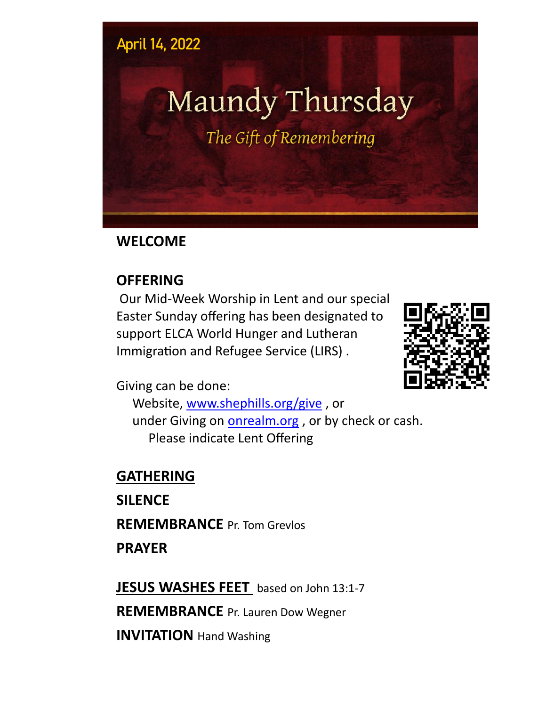#### **April 14, 2022**

# Maundy Thursday

The Gift of Remembering

#### **WELCOME**

#### **OFFERING**

Our Mid-Week Worship in Lent and our special Easter Sunday offering has been designated to support ELCA World Hunger and Lutheran Immigration and Refugee Service (LIRS) .



Giving can be done:

Website, [www.shephills.org/give](http://www.shephills.org/give) , or under Giving on <onrealm.org> , or by check or cash. Please indicate Lent Offering

### **GATHERING**

**SILENCE REMEMBRANCE** Pr. Tom Grevlos **PRAYER**

**JESUS WASHES FEET** based on John 13:1-7 **REMEMBRANCE** Pr. Lauren Dow Wegner **INVITATION** Hand Washing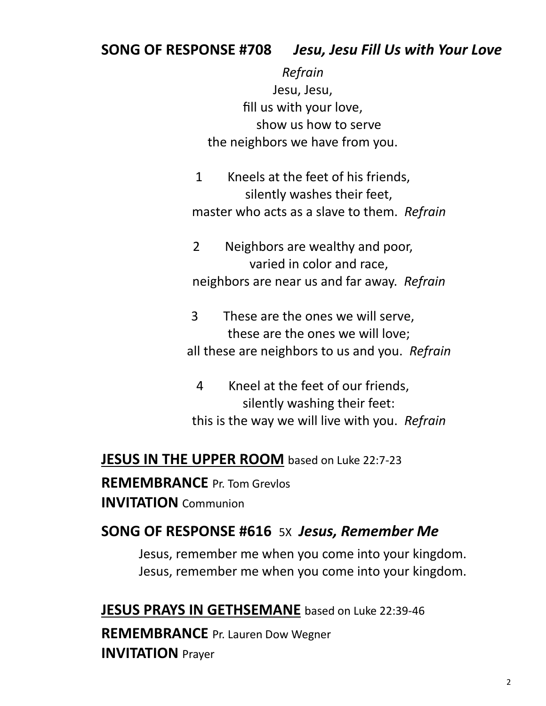#### **SONG OF RESPONSE #708** *Jesu, Jesu Fill Us with Your Love*

*Refrain* Jesu, Jesu, fill us with your love, show us how to serve the neighbors we have from you.

1 Kneels at the feet of his friends, silently washes their feet, master who acts as a slave to them. *Refrain*

2 Neighbors are wealthy and poor, varied in color and race, neighbors are near us and far away. *Refrain*

3 These are the ones we will serve, these are the ones we will love; all these are neighbors to us and you. *Refrain*

4 Kneel at the feet of our friends, silently washing their feet: this is the way we will live with you. *Refrain*

#### **JESUS IN THE UPPER ROOM** based on Luke 22:7-23

**REMEMBRANCE** Pr. Tom Grevlos **INVITATION** Communion

#### **SONG OF RESPONSE #616** 5X *Jesus, Remember Me*

Jesus, remember me when you come into your kingdom. Jesus, remember me when you come into your kingdom.

**JESUS PRAYS IN GETHSEMANE** based on Luke 22:39-46

**REMEMBRANCE** Pr. Lauren Dow Wegner **INVITATION** Prayer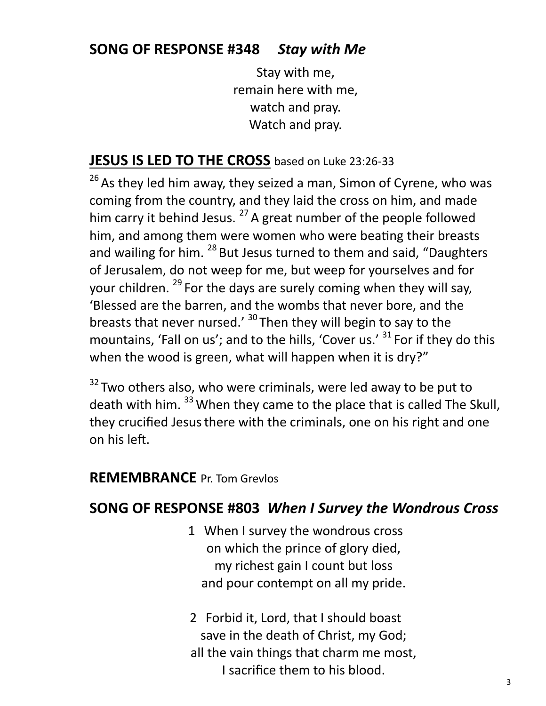#### **SONG OF RESPONSE #348** *Stay with Me*

Stay with me, remain here with me, watch and pray. Watch and pray.

#### **JESUS IS LED TO THE CROSS** based on Luke 23:26-33

 $26$  As they led him away, they seized a man, Simon of Cyrene, who was coming from the country, and they laid the cross on him, and made him carry it behind Jesus.<sup>27</sup> A great number of the people followed him, and among them were women who were beating their breasts and wailing for him. <sup>28</sup> But Jesus turned to them and said, "Daughters of Jerusalem, do not weep for me, but weep for yourselves and for your children. <sup>29</sup> For the days are surely coming when they will say, 'Blessed are the barren, and the wombs that never bore, and the breasts that never nursed.' <sup>30</sup> Then they will begin to say to the mountains, 'Fall on us'; and to the hills, 'Cover us.' <sup>31</sup> For if they do this when the wood is green, what will happen when it is dry?"

 $32$  Two others also, who were criminals, were led away to be put to death with him. <sup>33</sup> When they came to the place that is called The Skull, they crucified Jesus there with the criminals, one on his right and one on his left.

#### **REMEMBRANCE** Pr. Tom Grevlos

#### **SONG OF RESPONSE #803** *When I Survey the Wondrous Cross*

- 1 When I survey the wondrous cross on which the prince of glory died, my richest gain I count but loss and pour contempt on all my pride.
- 2 Forbid it, Lord, that I should boast save in the death of Christ, my God; all the vain things that charm me most, I sacrifice them to his blood.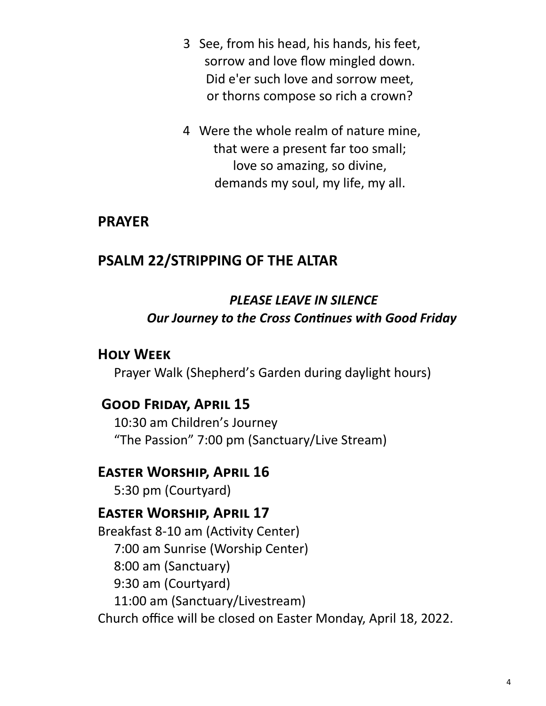- 3 See, from his head, his hands, his feet, sorrow and love flow mingled down. Did e'er such love and sorrow meet, or thorns compose so rich a crown?
- 4 Were the whole realm of nature mine, that were a present far too small; love so amazing, so divine, demands my soul, my life, my all.

#### **PRAYER**

#### **PSALM 22/STRIPPING OF THE ALTAR**

#### *PLEASE LEAVE IN SILENCE Our Journey to the Cross Continues with Good Friday*

#### **Holy Week**

Prayer Walk (Shepherd's Garden during daylight hours)

#### **Good Friday, April 15**

10:30 am Children's Journey "The Passion" 7:00 pm (Sanctuary/Live Stream)

#### **Easter Worship, April 16**

5:30 pm (Courtyard)

#### **Easter Worship, April 17**

Breakfast 8-10 am (Activity Center) 7:00 am Sunrise (Worship Center) 8:00 am (Sanctuary) 9:30 am (Courtyard) 11:00 am (Sanctuary/Livestream) Church office will be closed on Easter Monday, April 18, 2022.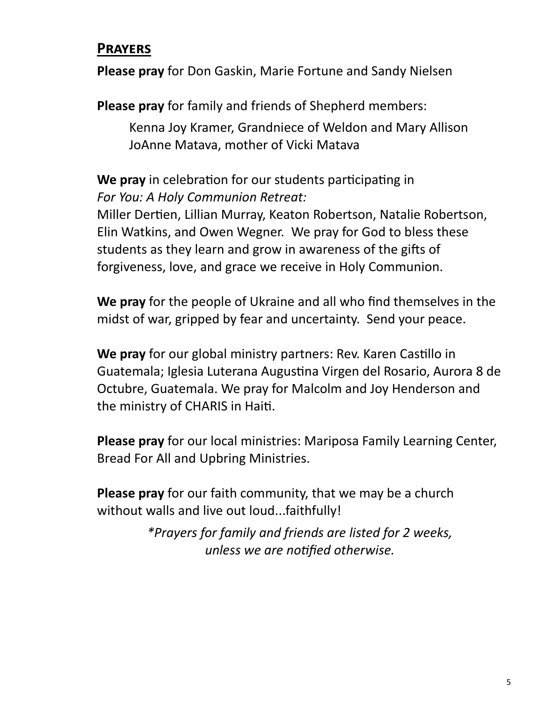#### **Prayers**

**Please pray** for Don Gaskin, Marie Fortune and Sandy Nielsen

**Please pray** for family and friends of Shepherd members:

Kenna Joy Kramer, Grandniece of Weldon and Mary Allison JoAnne Matava, mother of Vicki Matava

**We pray** in celebration for our students participating in *For You: A Holy Communion Retreat:*

Miller Dertien, Lillian Murray, Keaton Robertson, Natalie Robertson, Elin Watkins, and Owen Wegner. We pray for God to bless these students as they learn and grow in awareness of the gifts of forgiveness, love, and grace we receive in Holy Communion.

**We pray** for the people of Ukraine and all who find themselves in the midst of war, gripped by fear and uncertainty. Send your peace.

**We pray** for our global ministry partners: Rev. Karen Castillo in Guatemala; Iglesia Luterana Augustina Virgen del Rosario, Aurora 8 de Octubre, Guatemala. We pray for Malcolm and Joy Henderson and the ministry of CHARIS in Haiti.

**Please pray** for our local ministries: Mariposa Family Learning Center, Bread For All and Upbring Ministries.

**Please pray** for our faith community, that we may be a church without walls and live out loud...faithfully!

> *\*Prayers for family and friends are listed for 2 weeks, unless we are notified otherwise.*